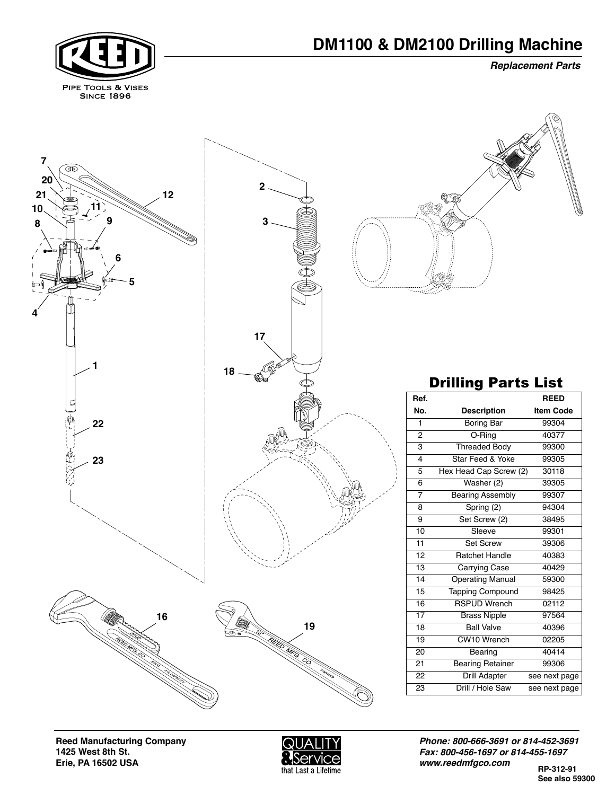*Replacement Parts*





**Reed Manufacturing Company 1425 West 8th St. Erie, PA 16502 USA** 



*Phone: 800-666-3691 or 814-452-3691 Fax: 800-456-1697 or 814-455-1697 www.reedmfgco.com*